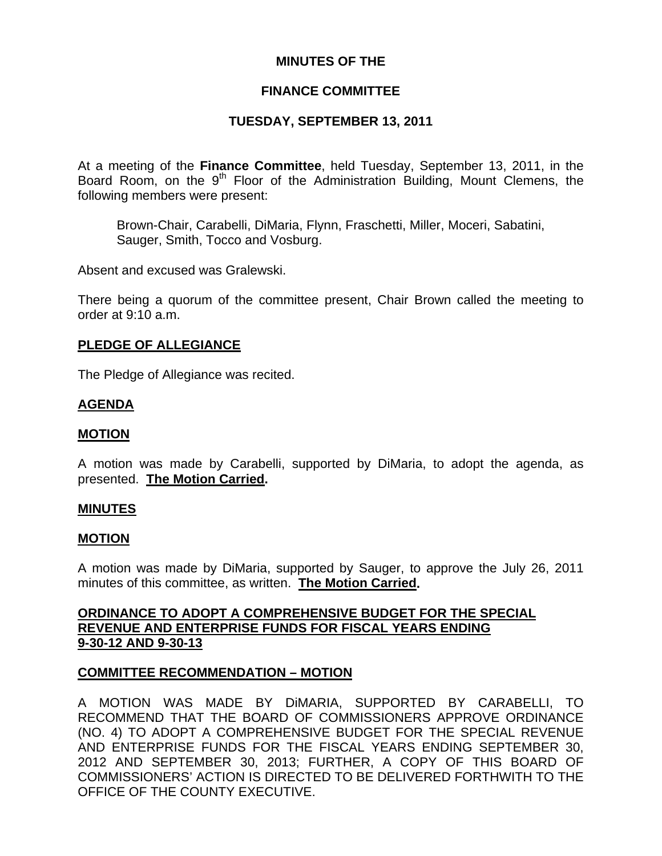# **MINUTES OF THE**

# **FINANCE COMMITTEE**

# **TUESDAY, SEPTEMBER 13, 2011**

At a meeting of the **Finance Committee**, held Tuesday, September 13, 2011, in the Board Room, on the 9<sup>th</sup> Floor of the Administration Building, Mount Clemens, the following members were present:

Brown-Chair, Carabelli, DiMaria, Flynn, Fraschetti, Miller, Moceri, Sabatini, Sauger, Smith, Tocco and Vosburg.

Absent and excused was Gralewski.

There being a quorum of the committee present, Chair Brown called the meeting to order at 9:10 a.m.

## **PLEDGE OF ALLEGIANCE**

The Pledge of Allegiance was recited.

## **AGENDA**

#### **MOTION**

A motion was made by Carabelli, supported by DiMaria, to adopt the agenda, as presented. **The Motion Carried.** 

#### **MINUTES**

#### **MOTION**

A motion was made by DiMaria, supported by Sauger, to approve the July 26, 2011 minutes of this committee, as written. **The Motion Carried.** 

## **ORDINANCE TO ADOPT A COMPREHENSIVE BUDGET FOR THE SPECIAL REVENUE AND ENTERPRISE FUNDS FOR FISCAL YEARS ENDING 9-30-12 AND 9-30-13**

## **COMMITTEE RECOMMENDATION – MOTION**

A MOTION WAS MADE BY DiMARIA, SUPPORTED BY CARABELLI, TO RECOMMEND THAT THE BOARD OF COMMISSIONERS APPROVE ORDINANCE (NO. 4) TO ADOPT A COMPREHENSIVE BUDGET FOR THE SPECIAL REVENUE AND ENTERPRISE FUNDS FOR THE FISCAL YEARS ENDING SEPTEMBER 30, 2012 AND SEPTEMBER 30, 2013; FURTHER, A COPY OF THIS BOARD OF COMMISSIONERS' ACTION IS DIRECTED TO BE DELIVERED FORTHWITH TO THE OFFICE OF THE COUNTY EXECUTIVE.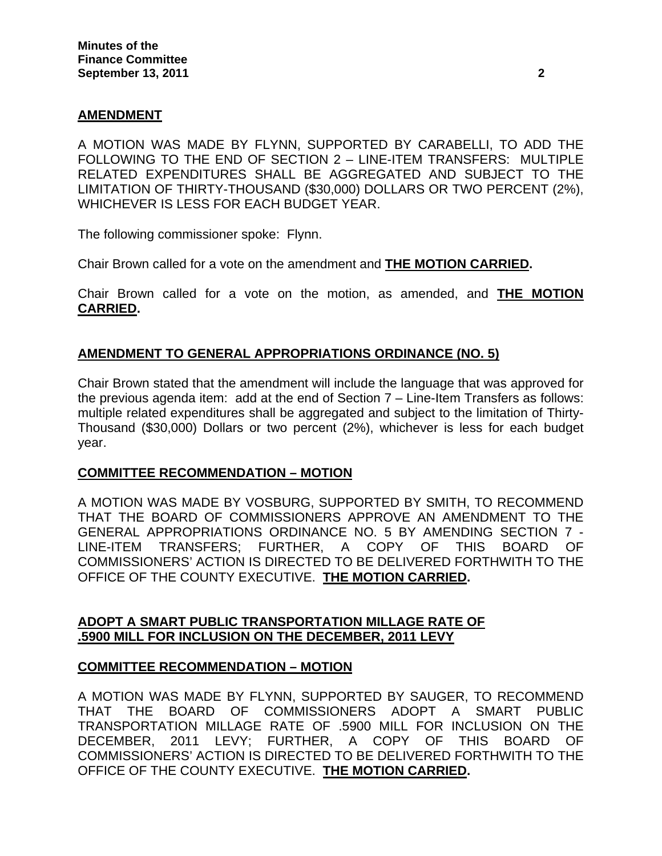# **AMENDMENT**

A MOTION WAS MADE BY FLYNN, SUPPORTED BY CARABELLI, TO ADD THE FOLLOWING TO THE END OF SECTION 2 – LINE-ITEM TRANSFERS: MULTIPLE RELATED EXPENDITURES SHALL BE AGGREGATED AND SUBJECT TO THE LIMITATION OF THIRTY-THOUSAND (\$30,000) DOLLARS OR TWO PERCENT (2%), WHICHEVER IS LESS FOR EACH BUDGET YEAR.

The following commissioner spoke: Flynn.

Chair Brown called for a vote on the amendment and **THE MOTION CARRIED.** 

Chair Brown called for a vote on the motion, as amended, and **THE MOTION CARRIED.** 

## **AMENDMENT TO GENERAL APPROPRIATIONS ORDINANCE (NO. 5)**

Chair Brown stated that the amendment will include the language that was approved for the previous agenda item: add at the end of Section 7 – Line-Item Transfers as follows: multiple related expenditures shall be aggregated and subject to the limitation of Thirty-Thousand (\$30,000) Dollars or two percent (2%), whichever is less for each budget year.

## **COMMITTEE RECOMMENDATION – MOTION**

A MOTION WAS MADE BY VOSBURG, SUPPORTED BY SMITH, TO RECOMMEND THAT THE BOARD OF COMMISSIONERS APPROVE AN AMENDMENT TO THE GENERAL APPROPRIATIONS ORDINANCE NO. 5 BY AMENDING SECTION 7 - LINE-ITEM TRANSFERS; FURTHER, A COPY OF THIS BOARD OF COMMISSIONERS' ACTION IS DIRECTED TO BE DELIVERED FORTHWITH TO THE OFFICE OF THE COUNTY EXECUTIVE. **THE MOTION CARRIED.** 

# **ADOPT A SMART PUBLIC TRANSPORTATION MILLAGE RATE OF .5900 MILL FOR INCLUSION ON THE DECEMBER, 2011 LEVY**

## **COMMITTEE RECOMMENDATION – MOTION**

A MOTION WAS MADE BY FLYNN, SUPPORTED BY SAUGER, TO RECOMMEND THAT THE BOARD OF COMMISSIONERS ADOPT A SMART PUBLIC TRANSPORTATION MILLAGE RATE OF .5900 MILL FOR INCLUSION ON THE DECEMBER, 2011 LEVY; FURTHER, A COPY OF THIS BOARD OF COMMISSIONERS' ACTION IS DIRECTED TO BE DELIVERED FORTHWITH TO THE OFFICE OF THE COUNTY EXECUTIVE. **THE MOTION CARRIED.**